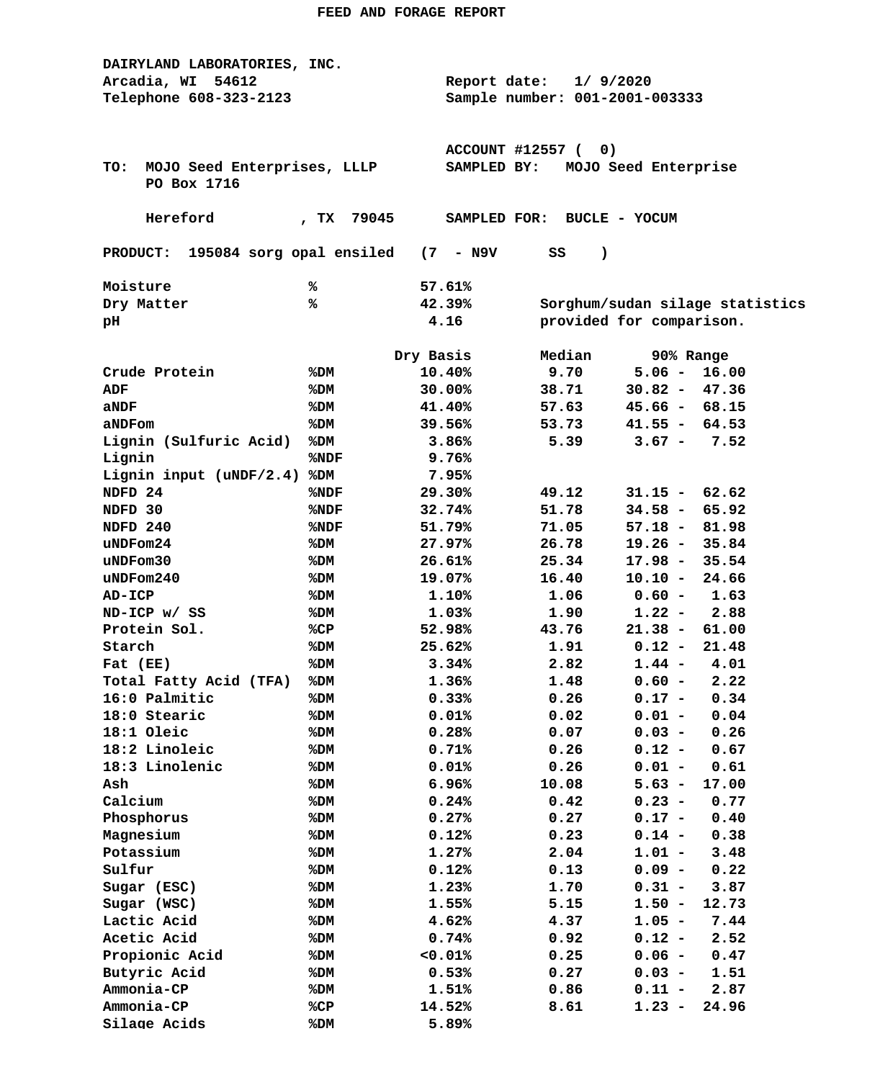| DAIRYLAND LABORATORIES, INC.                                                  |                               |                                     |                          |                 |                                 |  |  |  |  |  |
|-------------------------------------------------------------------------------|-------------------------------|-------------------------------------|--------------------------|-----------------|---------------------------------|--|--|--|--|--|
| Arcadia, WI 54612                                                             | 1/9/2020<br>Report date:      |                                     |                          |                 |                                 |  |  |  |  |  |
| Telephone 608-323-2123                                                        |                               | Sample number: 001-2001-003333      |                          |                 |                                 |  |  |  |  |  |
|                                                                               |                               |                                     |                          |                 |                                 |  |  |  |  |  |
|                                                                               |                               |                                     |                          |                 |                                 |  |  |  |  |  |
|                                                                               | <b>ACCOUNT #12557 (</b><br>0) |                                     |                          |                 |                                 |  |  |  |  |  |
| MOJO Seed Enterprises, LLLP<br>TO:                                            |                               | MOJO Seed Enterprise<br>SAMPLED BY: |                          |                 |                                 |  |  |  |  |  |
| PO Box 1716                                                                   |                               |                                     |                          |                 |                                 |  |  |  |  |  |
|                                                                               |                               |                                     |                          |                 |                                 |  |  |  |  |  |
| Hereford                                                                      | 79045<br>, $TX$               | SAMPLED FOR: BUCLE - YOCUM          |                          |                 |                                 |  |  |  |  |  |
|                                                                               |                               |                                     |                          |                 |                                 |  |  |  |  |  |
| 195084 sorg opal ensiled<br>$(7 - N9V)$<br>SS<br>$\lambda$<br><b>PRODUCT:</b> |                               |                                     |                          |                 |                                 |  |  |  |  |  |
| Moisture                                                                      | ℁                             | 57.61%                              |                          |                 |                                 |  |  |  |  |  |
| Dry Matter                                                                    | %                             | 42.39%                              |                          |                 | Sorghum/sudan silage statistics |  |  |  |  |  |
| pН                                                                            |                               | 4.16                                | provided for comparison. |                 |                                 |  |  |  |  |  |
|                                                                               |                               |                                     |                          |                 |                                 |  |  |  |  |  |
|                                                                               | Dry Basis                     |                                     | Median                   | 90% Range       |                                 |  |  |  |  |  |
| Crude Protein                                                                 | %DM                           | 10.40%                              | 9.70                     | $5.06 -$        | 16.00                           |  |  |  |  |  |
| ADF                                                                           | %DM                           | 30.00%                              | 38.71                    | $30.82 -$       | 47.36                           |  |  |  |  |  |
| aNDF                                                                          | %DM                           | 41.40%                              | 57.63                    | $45.66 - 68.15$ |                                 |  |  |  |  |  |
| aNDFom                                                                        | %DM                           | 39.56%                              | 53.73                    | $41.55 - 64.53$ |                                 |  |  |  |  |  |
| Lignin (Sulfuric Acid)                                                        | %DM                           | 3.86%                               | 5.39                     | $3.67 -$        | 7.52                            |  |  |  |  |  |
| Lignin                                                                        | %NDF                          | 9.76%                               |                          |                 |                                 |  |  |  |  |  |
| Lignin input (uNDF/2.4)                                                       | %DM                           | 7.95%                               |                          |                 |                                 |  |  |  |  |  |
| NDFD 24                                                                       | %NDF                          | 29.30%                              | 49.12                    | $31.15 -$       | 62.62                           |  |  |  |  |  |
| NDFD 30                                                                       | %NDF                          | 32.74%                              | 51.78                    | $34.58 -$       | 65.92                           |  |  |  |  |  |
| NDFD 240                                                                      | %NDF                          | 51.79%                              | 71.05                    | $57.18 -$       | 81.98                           |  |  |  |  |  |
| uNDFom24                                                                      | %DM                           | 27.97%                              | 26.78                    | $19.26 -$       | 35.84                           |  |  |  |  |  |
| uNDFom30                                                                      | %DM                           | 26.61%                              | 25.34                    | 17.98 -         | 35.54                           |  |  |  |  |  |
| $u$ NDF $om240$                                                               | %DM                           | 19.07%                              | 16.40                    | $10.10 -$       | 24.66                           |  |  |  |  |  |
| AD-ICP                                                                        | %DM                           | 1.10%                               | 1.06                     | $0.60 -$        | 1.63                            |  |  |  |  |  |
| ND-ICP w/ SS                                                                  | %DM                           | 1.03%                               | 1.90                     | $1.22 -$        | 2.88                            |  |  |  |  |  |
| Protein Sol.                                                                  | %CP                           | 52.98%                              | 43.76                    | $21.38 -$       | 61.00                           |  |  |  |  |  |
| Starch                                                                        | %DM                           | 25.62%                              | 1.91                     | $0.12 -$        | 21.48                           |  |  |  |  |  |
| Fat (EE)                                                                      | %DM                           | 3.34%                               | 2.82                     | $1.44 -$        | 4.01                            |  |  |  |  |  |
| Total Fatty Acid (TFA)                                                        | %DM                           | 1.36%                               | 1.48                     | $0.60 -$        | 2.22                            |  |  |  |  |  |
| 16:0 Palmitic                                                                 | %DM                           | 0.33%                               | 0.26                     | $0.17 - 0.34$   |                                 |  |  |  |  |  |
| 18:0 Stearic                                                                  | %DM                           | 0.01%                               | 0.02                     | $0.01 -$        | 0.04                            |  |  |  |  |  |
| 18:1 Oleic                                                                    | %DM                           | 0.28%                               | 0.07                     | $0.03 -$        | 0.26                            |  |  |  |  |  |
| 18:2 Linoleic                                                                 | %DM                           | 0.71%                               | 0.26                     | $0.12 -$        | 0.67                            |  |  |  |  |  |
| 18:3 Linolenic                                                                | %DM                           | 0.01%                               | 0.26                     | $0.01 -$        | 0.61                            |  |  |  |  |  |
| Ash                                                                           | %DM                           | 6.96%                               | 10.08                    | $5.63 -$        | 17.00                           |  |  |  |  |  |
| Calcium                                                                       | %DM                           | 0.24%                               | 0.42                     | $0.23 -$        | 0.77                            |  |  |  |  |  |
| Phosphorus                                                                    | %DM                           | 0.27%                               | 0.27                     | $0.17 -$        | 0.40                            |  |  |  |  |  |
| Magnesium                                                                     | %DM                           | 0.12%                               | 0.23                     | $0.14 -$        | 0.38                            |  |  |  |  |  |
| Potassium                                                                     | %DM                           | 1.27%                               | 2.04                     | $1.01 -$        | 3.48                            |  |  |  |  |  |
| Sulfur                                                                        | %DM                           | 0.12%                               | 0.13                     | $0.09 -$        | 0.22                            |  |  |  |  |  |
| Sugar (ESC)                                                                   | %DM                           | 1.23%                               | 1.70                     | $0.31 -$        | 3.87                            |  |  |  |  |  |
| Sugar (WSC)                                                                   | %DM                           | 1.55%                               | 5.15                     | $1.50 -$        | 12.73                           |  |  |  |  |  |
| Lactic Acid                                                                   | %DM                           | 4.62%                               | 4.37                     | $1.05 -$        | 7.44                            |  |  |  |  |  |
| Acetic Acid                                                                   | %DM                           | 0.74%                               | 0.92                     | $0.12 -$        | 2.52                            |  |  |  |  |  |
| Propionic Acid                                                                | %DM                           | 0.01%                               | 0.25                     | $0.06 -$        | 0.47                            |  |  |  |  |  |
| Butyric Acid                                                                  | %DM                           | 0.53%                               | 0.27                     | $0.03 -$        | 1.51                            |  |  |  |  |  |
| Ammonia-CP                                                                    | %DM                           | 1.51%                               | 0.86                     | $0.11 -$        | 2.87                            |  |  |  |  |  |
| Ammonia-CP                                                                    | %CP                           | 14.52%                              | 8.61                     | $1.23 -$        | 24.96                           |  |  |  |  |  |
| Silage Acids                                                                  | %DM                           | 5.89%                               |                          |                 |                                 |  |  |  |  |  |